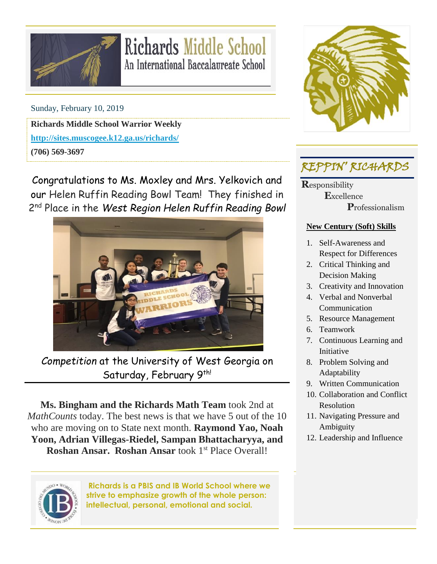

# **Richards Middle School** An International Baccalaureate School

Sunday, February 10, 2019

**Richards Middle School Warrior Weekly**

**<http://sites.muscogee.k12.ga.us/richards/>**

**(706) 569-3697**

Congratulations to Ms. Moxley and Mrs. Yelkovich and our Helen Ruffin Reading Bowl Team! They finished in 2 nd Place in the *West Region Helen Ruffin Reading Bowl*



*Competition* at the University of West Georgia on Saturday, February 9<sup>th!</sup>

**Ms. Bingham and the Richards Math Team** took 2nd at *MathCounts* today. The best news is that we have 5 out of the 10 who are moving on to State next month. **Raymond Yao, Noah Yoon, Adrian Villegas-Riedel, Sampan Bhattacharyya, and Roshan Ansar. Roshan Ansar** took 1<sup>st</sup> Place Overall!



**Richards is a PBIS and IB World School where we strive to emphasize growth of the whole person: intellectual, personal, emotional and social.**



## REPPIN' RICHARDS

**R**esponsibility  **E**xcellence  **P**rofessionalism

#### **New Century (Soft) Skills**

- 1. Self-Awareness and Respect for Differences
- 2. Critical Thinking and Decision Making
- 3. Creativity and Innovation
- 4. Verbal and Nonverbal Communication
- 5. Resource Management
- 6. Teamwork
- 7. Continuous Learning and Initiative
- 8. Problem Solving and Adaptability
- 9. Written Communication
- 10. Collaboration and Conflict Resolution
- 11. Navigating Pressure and Ambiguity
- 12. Leadership and Influence